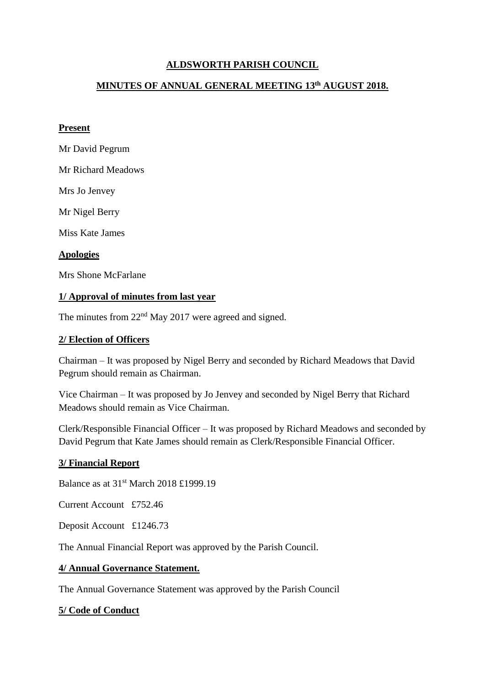## **ALDSWORTH PARISH COUNCIL**

## **MINUTES OF ANNUAL GENERAL MEETING 13th AUGUST 2018.**

### **Present**

Mr David Pegrum

Mr Richard Meadows

Mrs Jo Jenvey

Mr Nigel Berry

Miss Kate James

### **Apologies**

Mrs Shone McFarlane

### **1/ Approval of minutes from last year**

The minutes from 22<sup>nd</sup> May 2017 were agreed and signed.

## **2/ Election of Officers**

Chairman – It was proposed by Nigel Berry and seconded by Richard Meadows that David Pegrum should remain as Chairman.

Vice Chairman – It was proposed by Jo Jenvey and seconded by Nigel Berry that Richard Meadows should remain as Vice Chairman.

Clerk/Responsible Financial Officer – It was proposed by Richard Meadows and seconded by David Pegrum that Kate James should remain as Clerk/Responsible Financial Officer.

#### **3/ Financial Report**

Balance as at 31st March 2018 £1999.19

Current Account £752.46

Deposit Account £1246.73

The Annual Financial Report was approved by the Parish Council.

#### **4/ Annual Governance Statement.**

The Annual Governance Statement was approved by the Parish Council

#### **5/ Code of Conduct**